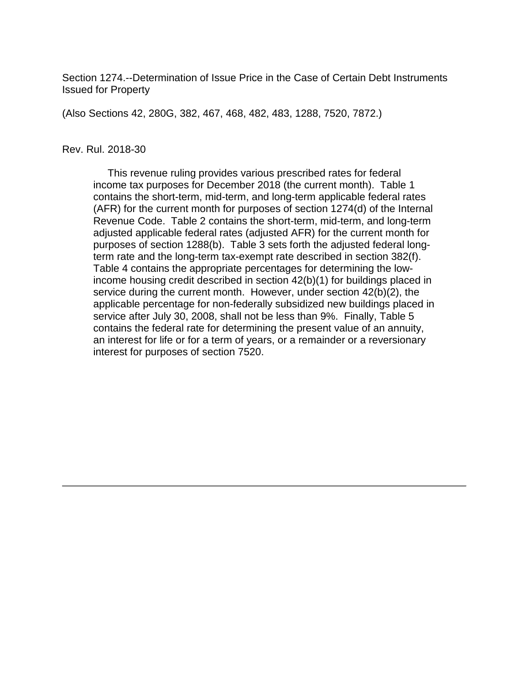Section 1274.--Determination of Issue Price in the Case of Certain Debt Instruments Issued for Property

(Also Sections 42, 280G, 382, 467, 468, 482, 483, 1288, 7520, 7872.)

#### Rev. Rul. 2018-30

 This revenue ruling provides various prescribed rates for federal income tax purposes for December 2018 (the current month). Table 1 contains the short-term, mid-term, and long-term applicable federal rates (AFR) for the current month for purposes of section 1274(d) of the Internal Revenue Code. Table 2 contains the short-term, mid-term, and long-term adjusted applicable federal rates (adjusted AFR) for the current month for purposes of section 1288(b). Table 3 sets forth the adjusted federal longterm rate and the long-term tax-exempt rate described in section 382(f). Table 4 contains the appropriate percentages for determining the lowincome housing credit described in section 42(b)(1) for buildings placed in service during the current month. However, under section 42(b)(2), the applicable percentage for non-federally subsidized new buildings placed in service after July 30, 2008, shall not be less than 9%. Finally, Table 5 contains the federal rate for determining the present value of an annuity, an interest for life or for a term of years, or a remainder or a reversionary interest for purposes of section 7520.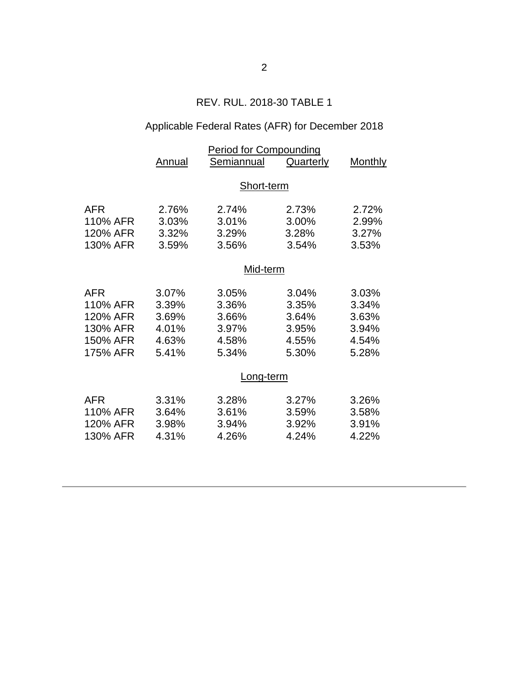# REV. RUL. 2018-30 TABLE 1

# Applicable Federal Rates (AFR) for December 2018

| <b>Annual</b>                                      | Semiannual                                         | <b>Quarterly</b>                                   | <b>Monthly</b>                                     |  |  |
|----------------------------------------------------|----------------------------------------------------|----------------------------------------------------|----------------------------------------------------|--|--|
| Short-term                                         |                                                    |                                                    |                                                    |  |  |
| 2.76%<br>3.03%<br>3.32%<br>3.59%                   | 2.74%<br>3.01%<br>3.29%<br>3.56%                   | 2.73%<br>3.00%<br>3.28%<br>3.54%                   | 2.72%<br>2.99%<br>3.27%<br>3.53%                   |  |  |
| Mid-term                                           |                                                    |                                                    |                                                    |  |  |
| 3.07%<br>3.39%<br>3.69%<br>4.01%<br>4.63%<br>5.41% | 3.05%<br>3.36%<br>3.66%<br>3.97%<br>4.58%<br>5.34% | 3.04%<br>3.35%<br>3.64%<br>3.95%<br>4.55%<br>5.30% | 3.03%<br>3.34%<br>3.63%<br>3.94%<br>4.54%<br>5.28% |  |  |
| Long-term                                          |                                                    |                                                    |                                                    |  |  |
| 3.31%<br>3.64%<br>3.98%<br>4.31%                   | 3.28%<br>3.61%<br>3.94%<br>4.26%                   | 3.27%<br>3.59%<br>3.92%<br>4.24%                   | 3.26%<br>3.58%<br>3.91%<br>4.22%                   |  |  |
|                                                    |                                                    |                                                    | <b>Period for Compounding</b>                      |  |  |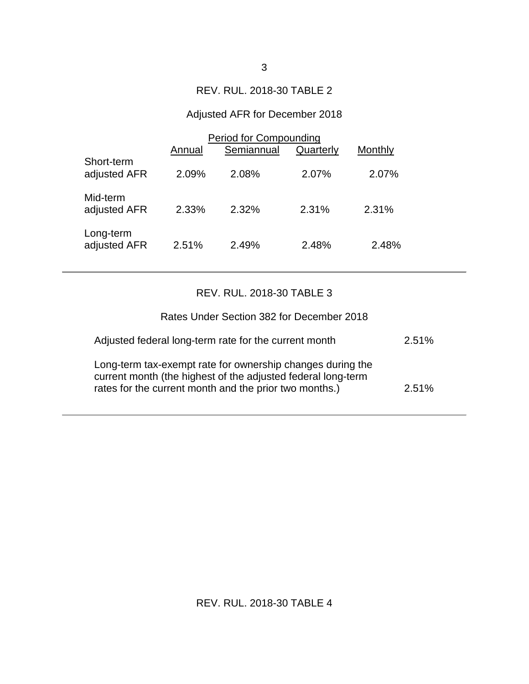### REV. RUL. 2018-30 TABLE 2

# Adjusted AFR for December 2018

|                            | Period for Compounding |            |           |         |
|----------------------------|------------------------|------------|-----------|---------|
|                            | Annual                 | Semiannual | Quarterly | Monthly |
| Short-term<br>adjusted AFR | 2.09%                  | 2.08%      | 2.07%     | 2.07%   |
| Mid-term<br>adjusted AFR   | 2.33%                  | 2.32%      | 2.31%     | 2.31%   |
| Long-term<br>adjusted AFR  | 2.51%                  | 2.49%      | 2.48%     | 2.48%   |

### REV. RUL. 2018-30 TABLE 3

| Rates Under Section 382 for December 2018                                                                                                                                            |       |
|--------------------------------------------------------------------------------------------------------------------------------------------------------------------------------------|-------|
| Adjusted federal long-term rate for the current month                                                                                                                                | 2.51% |
| Long-term tax-exempt rate for ownership changes during the<br>current month (the highest of the adjusted federal long-term<br>rates for the current month and the prior two months.) | 2.51% |

REV. RUL. 2018-30 TABLE 4